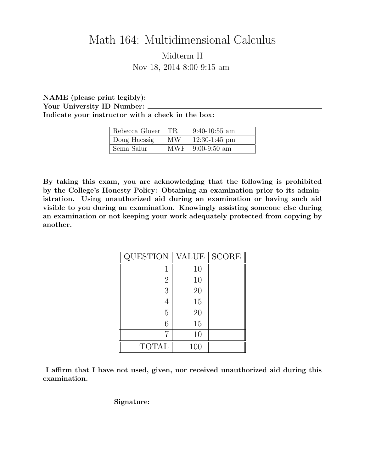## Math 164: Multidimensional Calculus Midterm II Nov 18, 2014 8:00-9:15 am

NAME (please print legibly): Your University ID Number: Indicate your instructor with a check in the box:

| Rebecca Glover | TR.   | $9:40-10:55$ am |  |
|----------------|-------|-----------------|--|
| Doug Haessig   | МW    | $12:30-1:45$ pm |  |
| Sema Salur     | MWF - | $9:00-9:50$ am  |  |

By taking this exam, you are acknowledging that the following is prohibited by the College's Honesty Policy: Obtaining an examination prior to its administration. Using unauthorized aid during an examination or having such aid visible to you during an examination. Knowingly assisting someone else during an examination or not keeping your work adequately protected from copying by another.

| <b>QUESTION</b> | VALUE | SCORE |
|-----------------|-------|-------|
|                 | 10    |       |
| 2               | 10    |       |
| 3               | 20    |       |
|                 | 15    |       |
| 5               | 20    |       |
| 6               | 15    |       |
|                 | 10    |       |
| <b>TOTAL</b>    | 100   |       |

I affirm that I have not used, given, nor received unauthorized aid during this examination.

Signature: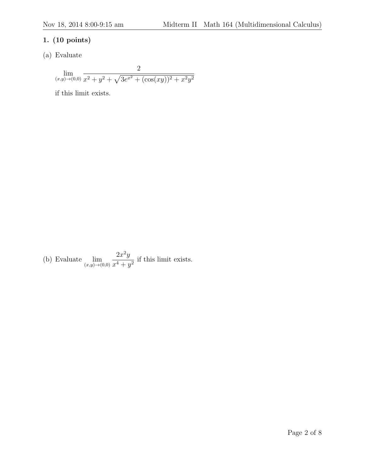## 1. (10 points)

(a) Evaluate

$$
\lim_{(x,y)\to(0,0)}\frac{2}{x^2+y^2+\sqrt{3e^{x^2}+(\cos(xy))^2+x^2y^2}}
$$

if this limit exists.

(b) Evaluate  $\lim_{(x,y)\to(0,0)}$  $2x^2y$  $\frac{2x}{x^4 + y^2}$  if this limit exists.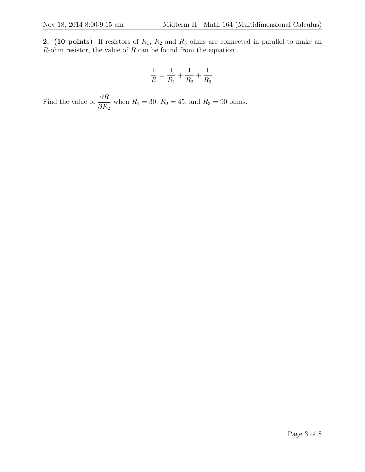2. (10 points) If resistors of  $R_1$ ,  $R_2$  and  $R_3$  ohms are connected in parallel to make an  $R$ -ohm resistor, the value of  $R$  can be found from the equation

$$
\frac{1}{R} = \frac{1}{R_1} + \frac{1}{R_2} + \frac{1}{R_3}.
$$

Find the value of  $\frac{\partial R}{\partial R}$  $\partial R_2$ when  $R_1 = 30, R_2 = 45, \text{ and } R_3 = 90 \text{ ohms.}$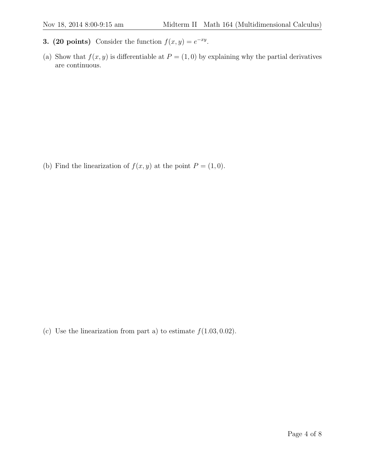- **3. (20 points)** Consider the function  $f(x, y) = e^{-xy}$ .
- (a) Show that  $f(x, y)$  is differentiable at  $P = (1, 0)$  by explaining why the partial derivatives are continuous.

(b) Find the linearization of  $f(x, y)$  at the point  $P = (1, 0)$ .

(c) Use the linearization from part a) to estimate  $f(1.03, 0.02)$ .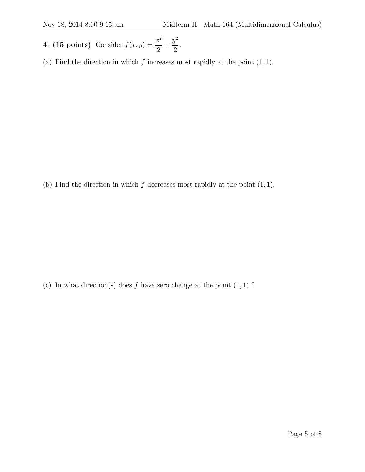- 4. (15 points) Consider  $f(x, y) = \frac{x^2}{2}$ 2  $+$  $y^2$ 2 .
- (a) Find the direction in which  $f$  increases most rapidly at the point  $(1, 1)$ .

(b) Find the direction in which  $f$  decreases most rapidly at the point  $(1, 1)$ .

(c) In what direction(s) does f have zero change at the point  $(1, 1)$  ?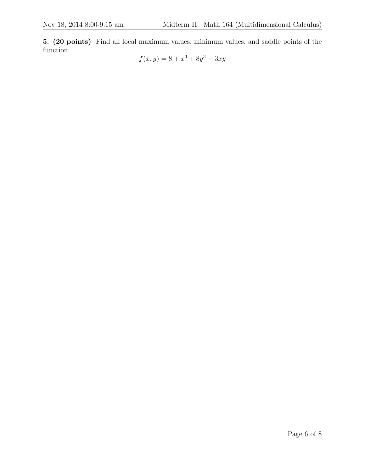5. (20 points) Find all local maximum values, minimum values, and saddle points of the function

$$
f(x, y) = 8 + x^3 + 8y^3 - 3xy
$$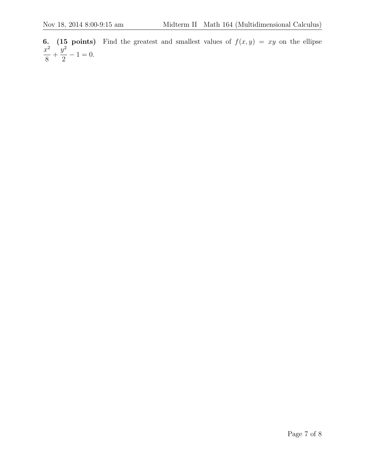6. (15 points) Find the greatest and smallest values of  $f(x, y) = xy$  on the ellipse  $x^2$ 8  $+$  $y^2$ 2  $-1 = 0.$